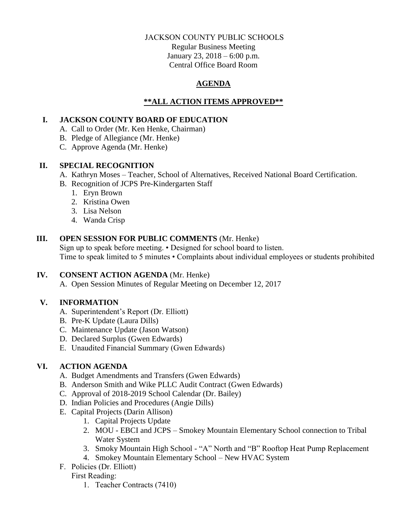#### JACKSON COUNTY PUBLIC SCHOOLS

Regular Business Meeting January 23, 2018 – 6:00 p.m. Central Office Board Room

### **AGENDA**

### **\*\*ALL ACTION ITEMS APPROVED\*\***

### **I. JACKSON COUNTY BOARD OF EDUCATION**

- A. Call to Order (Mr. Ken Henke, Chairman)
- B. Pledge of Allegiance (Mr. Henke)
- C. Approve Agenda (Mr. Henke)

#### **II. SPECIAL RECOGNITION**

- A. Kathryn Moses Teacher, School of Alternatives, Received National Board Certification.
- B. Recognition of JCPS Pre-Kindergarten Staff
	- 1. Eryn Brown
	- 2. Kristina Owen
	- 3. Lisa Nelson
	- 4. Wanda Crisp

## **III. OPEN SESSION FOR PUBLIC COMMENTS** (Mr. Henke)

Sign up to speak before meeting. • Designed for school board to listen. Time to speak limited to 5 minutes • Complaints about individual employees or students prohibited

#### **IV. CONSENT ACTION AGENDA** (Mr. Henke)

A. Open Session Minutes of Regular Meeting on December 12, 2017

## **V. INFORMATION**

- A. Superintendent's Report (Dr. Elliott)
- B. Pre-K Update (Laura Dills)
- C. Maintenance Update (Jason Watson)
- D. Declared Surplus (Gwen Edwards)
- E. Unaudited Financial Summary (Gwen Edwards)

## **VI. ACTION AGENDA**

- A. Budget Amendments and Transfers (Gwen Edwards)
- B. Anderson Smith and Wike PLLC Audit Contract (Gwen Edwards)
- C. Approval of 2018-2019 School Calendar (Dr. Bailey)
- D. Indian Policies and Procedures (Angie Dills)
- E. Capital Projects (Darin Allison)
	- 1. Capital Projects Update
	- 2. MOU EBCI and JCPS Smokey Mountain Elementary School connection to Tribal Water System
	- 3. Smoky Mountain High School "A" North and "B" Rooftop Heat Pump Replacement
	- 4. Smokey Mountain Elementary School New HVAC System
- F. Policies (Dr. Elliott)

# First Reading:

1. Teacher Contracts (7410)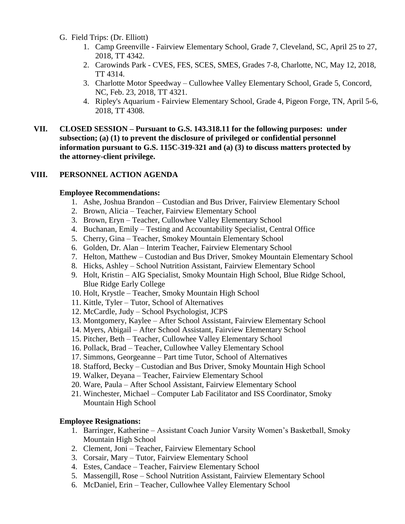- G. Field Trips: (Dr. Elliott)
	- 1. Camp Greenville Fairview Elementary School, Grade 7, Cleveland, SC, April 25 to 27, 2018, TT 4342.
	- 2. Carowinds Park CVES, FES, SCES, SMES, Grades 7-8, Charlotte, NC, May 12, 2018, TT 4314.
	- 3. Charlotte Motor Speedway Cullowhee Valley Elementary School, Grade 5, Concord, NC, Feb. 23, 2018, TT 4321.
	- 4. Ripley's Aquarium Fairview Elementary School, Grade 4, Pigeon Forge, TN, April 5-6, 2018, TT 4308.
- **VII. CLOSED SESSION – Pursuant to G.S. 143.318.11 for the following purposes: under subsection; (a) (1) to prevent the disclosure of privileged or confidential personnel information pursuant to G.S. 115C-319-321 and (a) (3) to discuss matters protected by the attorney-client privilege.**

#### **VIII. PERSONNEL ACTION AGENDA**

#### **Employee Recommendations:**

- 1. Ashe, Joshua Brandon Custodian and Bus Driver, Fairview Elementary School
- 2. Brown, Alicia Teacher, Fairview Elementary School
- 3. Brown, Eryn Teacher, Cullowhee Valley Elementary School
- 4. Buchanan, Emily Testing and Accountability Specialist, Central Office
- 5. Cherry, Gina Teacher, Smokey Mountain Elementary School
- 6. Golden, Dr. Alan Interim Teacher, Fairview Elementary School
- 7. Helton, Matthew Custodian and Bus Driver, Smokey Mountain Elementary School
- 8. Hicks, Ashley School Nutrition Assistant, Fairview Elementary School
- 9. Holt, Kristin AIG Specialist, Smoky Mountain High School, Blue Ridge School, Blue Ridge Early College
- 10. Holt, Krystle Teacher, Smoky Mountain High School
- 11. Kittle, Tyler Tutor, School of Alternatives
- 12. McCardle, Judy School Psychologist, JCPS
- 13. Montgomery, Kaylee After School Assistant, Fairview Elementary School
- 14. Myers, Abigail After School Assistant, Fairview Elementary School
- 15. Pitcher, Beth Teacher, Cullowhee Valley Elementary School
- 16. Pollack, Brad Teacher, Cullowhee Valley Elementary School
- 17. Simmons, Georgeanne Part time Tutor, School of Alternatives
- 18. Stafford, Becky Custodian and Bus Driver, Smoky Mountain High School
- 19. Walker, Deyana Teacher, Fairview Elementary School
- 20. Ware, Paula After School Assistant, Fairview Elementary School
- 21. Winchester, Michael Computer Lab Facilitator and ISS Coordinator, Smoky Mountain High School

#### **Employee Resignations:**

- 1. Barringer, Katherine Assistant Coach Junior Varsity Women's Basketball, Smoky Mountain High School
- 2. Clement, Joni Teacher, Fairview Elementary School
- 3. Corsair, Mary Tutor, Fairview Elementary School
- 4. Estes, Candace Teacher, Fairview Elementary School
- 5. Massengill, Rose School Nutrition Assistant, Fairview Elementary School
- 6. McDaniel, Erin Teacher, Cullowhee Valley Elementary School